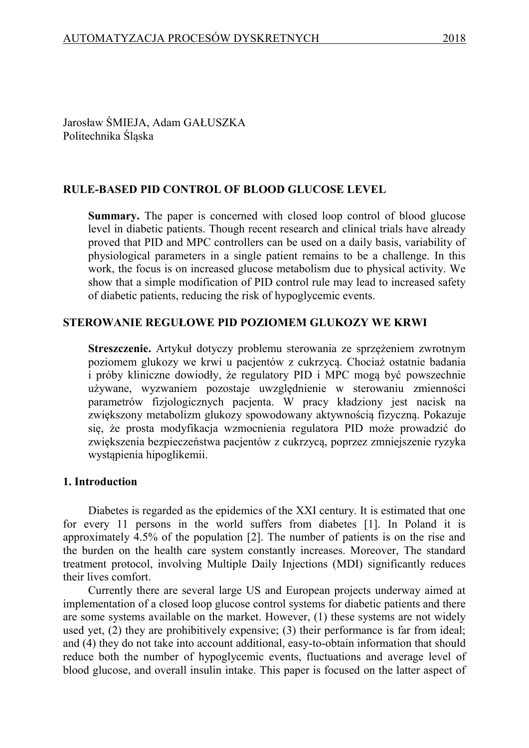Jarosław ŚMIEJA, Adam GAŁUSZKA Politechnika Śląska

## **RULE-BASED PID CONTROL OF BLOOD GLUCOSE LEVEL**

**Summary.** The paper is concerned with closed loop control of blood glucose level in diabetic patients. Though recent research and clinical trials have already proved that PID and MPC controllers can be used on a daily basis, variability of physiological parameters in a single patient remains to be a challenge. In this work, the focus is on increased glucose metabolism due to physical activity. We show that a simple modification of PID control rule may lead to increased safety of diabetic patients, reducing the risk of hypoglycemic events.

## **STEROWANIE REGUŁOWE PID POZIOMEM GLUKOZY WE KRWI**

**Streszczenie.** Artykuł dotyczy problemu sterowania ze sprzężeniem zwrotnym poziomem glukozy we krwi u pacjentów z cukrzycą. Chociaż ostatnie badania i próby kliniczne dowiodły, że regulatory PID i MPC mogą być powszechnie używane, wyzwaniem pozostaje uwzględnienie w sterowaniu zmienności parametrów fizjologicznych pacjenta. W pracy kładziony jest nacisk na zwiększony metabolizm glukozy spowodowany aktywnością fizyczną. Pokazuje się, że prosta modyfikacja wzmocnienia regulatora PID może prowadzić do zwiększenia bezpieczeństwa pacjentów z cukrzycą, poprzez zmniejszenie ryzyka wystąpienia hipoglikemii.

### **1. Introduction**

Diabetes is regarded as the epidemics of the XXI century. It is estimated that one for every 11 persons in the world suffers from diabetes [1]. In Poland it is approximately 4.5% of the population [2]. The number of patients is on the rise and the burden on the health care system constantly increases. Moreover, The standard treatment protocol, involving Multiple Daily Injections (MDI) significantly reduces their lives comfort.

Currently there are several large US and European projects underway aimed at implementation of a closed loop glucose control systems for diabetic patients and there are some systems available on the market. However, (1) these systems are not widely used yet, (2) they are prohibitively expensive; (3) their performance is far from ideal; and (4) they do not take into account additional, easy-to-obtain information that should reduce both the number of hypoglycemic events, fluctuations and average level of blood glucose, and overall insulin intake. This paper is focused on the latter aspect of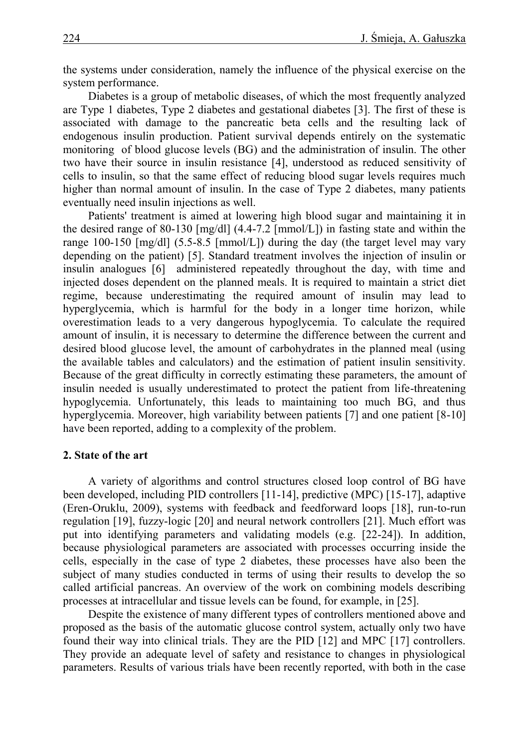the systems under consideration, namely the influence of the physical exercise on the system performance.

Diabetes is a group of metabolic diseases, of which the most frequently analyzed are Type 1 diabetes, Type 2 diabetes and gestational diabetes [3]. The first of these is associated with damage to the pancreatic beta cells and the resulting lack of endogenous insulin production. Patient survival depends entirely on the systematic monitoring of blood glucose levels (BG) and the administration of insulin. The other two have their source in insulin resistance [4], understood as reduced sensitivity of cells to insulin, so that the same effect of reducing blood sugar levels requires much higher than normal amount of insulin. In the case of Type 2 diabetes, many patients eventually need insulin injections as well.

Patients' treatment is aimed at lowering high blood sugar and maintaining it in the desired range of 80-130 [mg/dl] (4.4-7.2 [mmol/L]) in fasting state and within the range 100-150 [mg/dl] (5.5-8.5 [mmol/L]) during the day (the target level may vary depending on the patient) [5]. Standard treatment involves the injection of insulin or insulin analogues [6] administered repeatedly throughout the day, with time and injected doses dependent on the planned meals. It is required to maintain a strict diet regime, because underestimating the required amount of insulin may lead to hyperglycemia, which is harmful for the body in a longer time horizon, while overestimation leads to a very dangerous hypoglycemia. To calculate the required amount of insulin, it is necessary to determine the difference between the current and desired blood glucose level, the amount of carbohydrates in the planned meal (using the available tables and calculators) and the estimation of patient insulin sensitivity. Because of the great difficulty in correctly estimating these parameters, the amount of insulin needed is usually underestimated to protect the patient from life-threatening hypoglycemia. Unfortunately, this leads to maintaining too much BG, and thus hyperglycemia. Moreover, high variability between patients [7] and one patient [8-10] have been reported, adding to a complexity of the problem.

#### **2. State of the art**

A variety of algorithms and control structures closed loop control of BG have been developed, including PID controllers [11-14], predictive (MPC) [15-17], adaptive (Eren-Oruklu, 2009), systems with feedback and feedforward loops [18], run-to-run regulation [19], fuzzy-logic [20] and neural network controllers [21]. Much effort was put into identifying parameters and validating models (e.g. [22-24]). In addition, because physiological parameters are associated with processes occurring inside the cells, especially in the case of type 2 diabetes, these processes have also been the subject of many studies conducted in terms of using their results to develop the so called artificial pancreas. An overview of the work on combining models describing processes at intracellular and tissue levels can be found, for example, in [25].

Despite the existence of many different types of controllers mentioned above and proposed as the basis of the automatic glucose control system, actually only two have found their way into clinical trials. They are the PID [12] and MPC [17] controllers. They provide an adequate level of safety and resistance to changes in physiological parameters. Results of various trials have been recently reported, with both in the case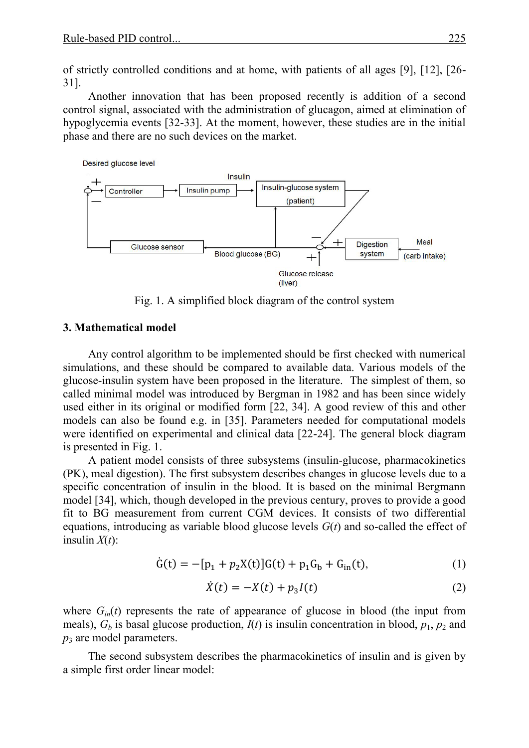of strictly controlled conditions and at home, with patients of all ages [9], [12], [26- 31].

Another innovation that has been proposed recently is addition of a second control signal, associated with the administration of glucagon, aimed at elimination of hypoglycemia events [32-33]. At the moment, however, these studies are in the initial phase and there are no such devices on the market.



Fig. 1. A simplified block diagram of the control system

### **3. Mathematical model**

Any control algorithm to be implemented should be first checked with numerical simulations, and these should be compared to available data. Various models of the glucose-insulin system have been proposed in the literature. The simplest of them, so called minimal model was introduced by Bergman in 1982 and has been since widely used either in its original or modified form [22, 34]. A good review of this and other models can also be found e.g. in [35]. Parameters needed for computational models were identified on experimental and clinical data [22-24]. The general block diagram is presented in Fig. 1.

A patient model consists of three subsystems (insulin-glucose, pharmacokinetics (PK), meal digestion). The first subsystem describes changes in glucose levels due to a specific concentration of insulin in the blood. It is based on the minimal Bergmann model [34], which, though developed in the previous century, proves to provide a good fit to BG measurement from current CGM devices. It consists of two differential equations, introducing as variable blood glucose levels *G*(*t*) and so-called the effect of insulin  $X(t)$ :

$$
\dot{G}(t) = -[p_1 + p_2 X(t)]G(t) + p_1 G_b + G_{in}(t),
$$
\n(1)

$$
\dot{X}(t) = -X(t) + p_3 I(t)
$$
 (2)

where  $G_{in}(t)$  represents the rate of appearance of glucose in blood (the input from meals),  $G_b$  is basal glucose production,  $I(t)$  is insulin concentration in blood,  $p_1$ ,  $p_2$  and *p*<sup>3</sup> are model parameters.

The second subsystem describes the pharmacokinetics of insulin and is given by a simple first order linear model: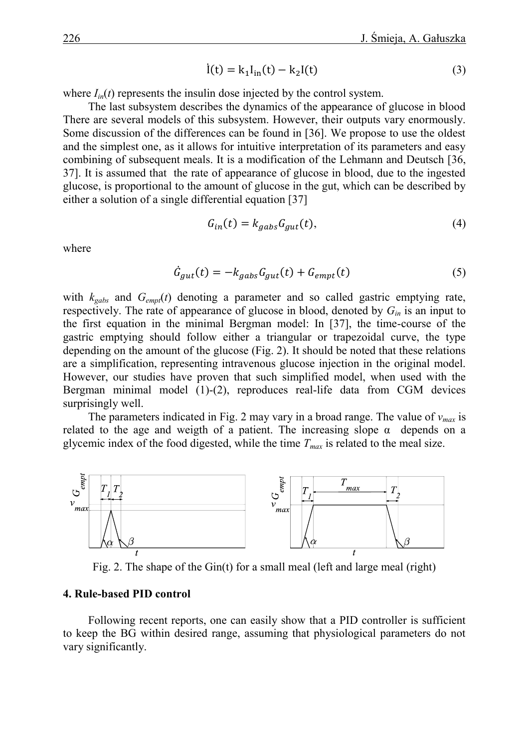$$
\dot{I}(t) = k_1 I_{in}(t) - k_2 I(t)
$$
 (3)

where  $I_{in}(t)$  represents the insulin dose injected by the control system.

The last subsystem describes the dynamics of the appearance of glucose in blood There are several models of this subsystem. However, their outputs vary enormously. Some discussion of the differences can be found in [36]. We propose to use the oldest and the simplest one, as it allows for intuitive interpretation of its parameters and easy combining of subsequent meals. It is a modification of the Lehmann and Deutsch [36, 37]. It is assumed that the rate of appearance of glucose in blood, due to the ingested glucose, is proportional to the amount of glucose in the gut, which can be described by either a solution of a single differential equation [37]

$$
G_{in}(t) = k_{gabs} G_{gut}(t),
$$
\n(4)

where

$$
\dot{G}_{gut}(t) = -k_{gabs} G_{gut}(t) + G_{empt}(t)
$$
\n(5)

with  $k_{\text{gabs}}$  and  $G_{\text{empt}}(t)$  denoting a parameter and so called gastric emptying rate, respectively. The rate of appearance of glucose in blood, denoted by *Gin* is an input to the first equation in the minimal Bergman model: In [37], the time-course of the gastric emptying should follow either a triangular or trapezoidal curve, the type depending on the amount of the glucose (Fig. 2). It should be noted that these relations are a simplification, representing intravenous glucose injection in the original model. However, our studies have proven that such simplified model, when used with the Bergman minimal model (1)-(2), reproduces real-life data from CGM devices surprisingly well.

The parameters indicated in Fig. 2 may vary in a broad range. The value of *vmax* is related to the age and weigth of a patient. The increasing slope  $\alpha$  depends on a glycemic index of the food digested, while the time  $T_{max}$  is related to the meal size.



Fig. 2. The shape of the Gin(t) for a small meal (left and large meal (right)

#### **4. Rule-based PID control**

Following recent reports, one can easily show that a PID controller is sufficient to keep the BG within desired range, assuming that physiological parameters do not vary significantly.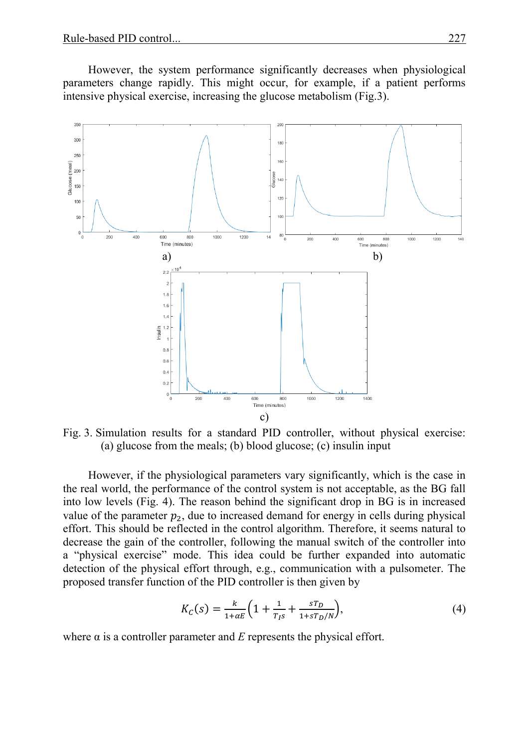However, the system performance significantly decreases when physiological parameters change rapidly. This might occur, for example, if a patient performs intensive physical exercise, increasing the glucose metabolism (Fig.3).



Fig. 3. Simulation results for a standard PID controller, without physical exercise: (a) glucose from the meals; (b) blood glucose; (c) insulin input

However, if the physiological parameters vary significantly, which is the case in the real world, the performance of the control system is not acceptable, as the BG fall into low levels (Fig. 4). The reason behind the significant drop in BG is in increased value of the parameter  $p_2$ , due to increased demand for energy in cells during physical effort. This should be reflected in the control algorithm. Therefore, it seems natural to decrease the gain of the controller, following the manual switch of the controller into a "physical exercise" mode. This idea could be further expanded into automatic detection of the physical effort through, e.g., communication with a pulsometer. The proposed transfer function of the PID controller is then given by

$$
K_C(s) = \frac{k}{1 + \alpha E} \left( 1 + \frac{1}{T_{IS}} + \frac{sT_D}{1 + sT_D/N} \right),\tag{4}
$$

where  $\alpha$  is a controller parameter and  $E$  represents the physical effort.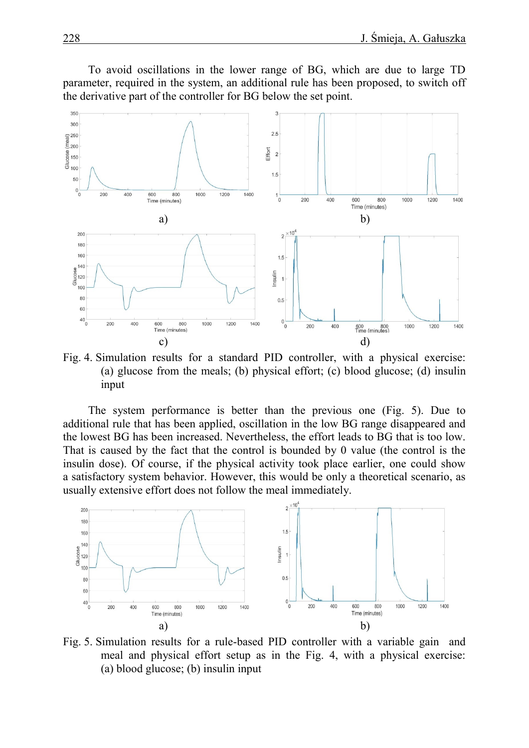To avoid oscillations in the lower range of BG, which are due to large TD parameter, required in the system, an additional rule has been proposed, to switch off the derivative part of the controller for BG below the set point.



Fig. 4. Simulation results for a standard PID controller, with a physical exercise: (a) glucose from the meals; (b) physical effort; (c) blood glucose; (d) insulin input

The system performance is better than the previous one (Fig. 5). Due to additional rule that has been applied, oscillation in the low BG range disappeared and the lowest BG has been increased. Nevertheless, the effort leads to BG that is too low. That is caused by the fact that the control is bounded by 0 value (the control is the insulin dose). Of course, if the physical activity took place earlier, one could show a satisfactory system behavior. However, this would be only a theoretical scenario, as usually extensive effort does not follow the meal immediately.



Fig. 5. Simulation results for a rule-based PID controller with a variable gain and meal and physical effort setup as in the Fig. 4, with a physical exercise: (a) blood glucose; (b) insulin input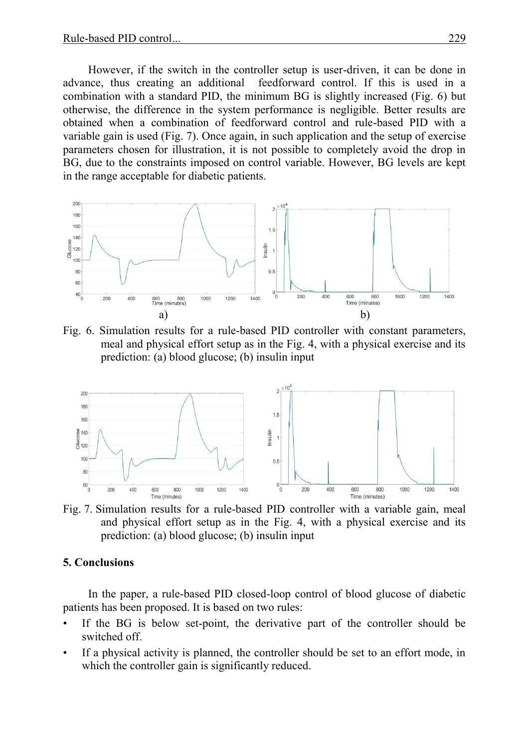However, if the switch in the controller setup is user-driven, it can be done in advance, thus creating an additional feedforward control. If this is used in a combination with a standard PID, the minimum BG is slightly increased (Fig. 6) but otherwise, the difference in the system performance is negligible. Better results are obtained when a combination of feedforward control and rule-based PID with a variable gain is used (Fig. 7). Once again, in such application and the setup of exercise parameters chosen for illustration, it is not possible to completely avoid the drop in BG, due to the constraints imposed on control variable. However, BG levels are kept in the range acceptable for diabetic patients.



Fig. 6. Simulation results for a rule-based PID controller with constant parameters, meal and physical effort setup as in the Fig. 4, with a physical exercise and its prediction: (a) blood glucose; (b) insulin input



Fig. 7. Simulation results for a rule-based PID controller with a variable gain, meal and physical effort setup as in the Fig. 4, with a physical exercise and its prediction: (a) blood glucose; (b) insulin input

## **5. Conclusions**

In the paper, a rule-based PID closed-loop control of blood glucose of diabetic patients has been proposed. It is based on two rules:

- If the BG is below set-point, the derivative part of the controller should be switched off.
- If a physical activity is planned, the controller should be set to an effort mode, in which the controller gain is significantly reduced.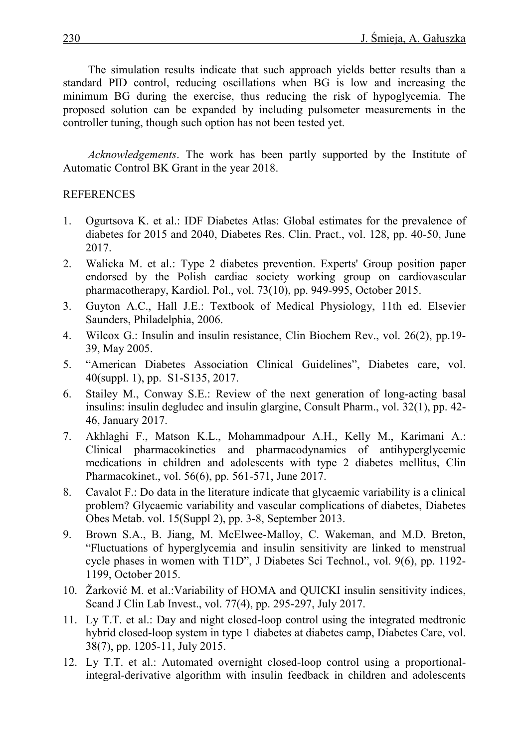The simulation results indicate that such approach yields better results than a standard PID control, reducing oscillations when BG is low and increasing the minimum BG during the exercise, thus reducing the risk of hypoglycemia. The proposed solution can be expanded by including pulsometer measurements in the controller tuning, though such option has not been tested yet.

*Acknowledgements*. The work has been partly supported by the Institute of Automatic Control BK Grant in the year 2018.

# REFERENCES

- 1. Ogurtsova K. et al.: IDF Diabetes Atlas: Global estimates for the prevalence of diabetes for 2015 and 2040, Diabetes Res. Clin. Pract., vol. 128, pp. 40-50, June 2017.
- 2. Walicka M. et al.: Type 2 diabetes prevention. Experts' Group position paper endorsed by the Polish cardiac society working group on cardiovascular pharmacotherapy, Kardiol. Pol., vol. 73(10), pp. 949-995, October 2015.
- 3. Guyton A.C., Hall J.E.: Textbook of Medical Physiology, 11th ed. Elsevier Saunders, Philadelphia, 2006.
- 4. Wilcox G.: Insulin and insulin resistance, Clin Biochem Rev., vol. 26(2), pp.19- 39, May 2005.
- 5. "American Diabetes Association Clinical Guidelines", Diabetes care, vol. 40(suppl. 1), pp. S1-S135, 2017.
- 6. Stailey M., Conway S.E.: Review of the next generation of long-acting basal insulins: insulin degludec and insulin glargine, Consult Pharm., vol. 32(1), pp. 42- 46, January 2017.
- 7. Akhlaghi F., Matson K.L., Mohammadpour A.H., Kelly M., Karimani A.: Clinical pharmacokinetics and pharmacodynamics of antihyperglycemic medications in children and adolescents with type 2 diabetes mellitus, Clin Pharmacokinet., vol. 56(6), pp. 561-571, June 2017.
- 8. Cavalot F.: Do data in the literature indicate that glycaemic variability is a clinical problem? Glycaemic variability and vascular complications of diabetes, Diabetes Obes Metab. vol. 15(Suppl 2), pp. 3-8, September 2013.
- 9. Brown S.A., B. Jiang, M. McElwee-Malloy, C. Wakeman, and M.D. Breton, "Fluctuations of hyperglycemia and insulin sensitivity are linked to menstrual cycle phases in women with T1D", J Diabetes Sci Technol., vol. 9(6), pp. 1192- 1199, October 2015.
- 10. Žarković M. et al.:Variability of HOMA and QUICKI insulin sensitivity indices, Scand J Clin Lab Invest., vol. 77(4), pp. 295-297, July 2017.
- 11. Ly T.T. et al.: Day and night closed-loop control using the integrated medtronic hybrid closed-loop system in type 1 diabetes at diabetes camp, Diabetes Care, vol. 38(7), pp. 1205-11, July 2015.
- 12. Ly T.T. et al.: Automated overnight closed-loop control using a proportionalintegral-derivative algorithm with insulin feedback in children and adolescents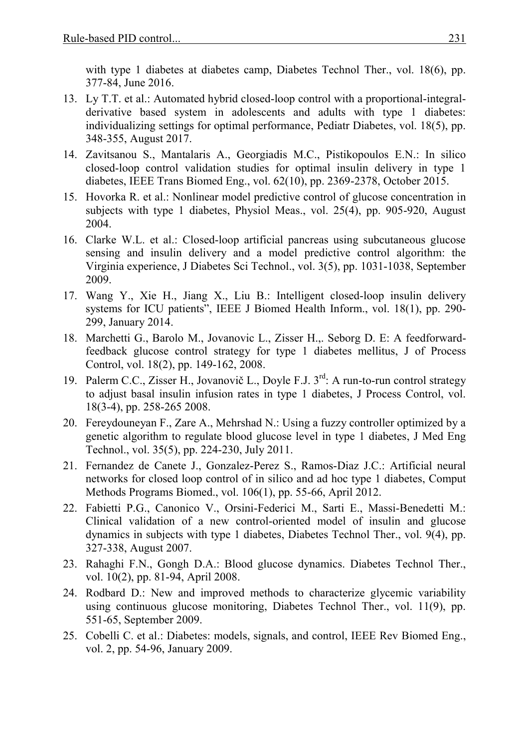with type 1 diabetes at diabetes camp, Diabetes Technol Ther., vol. 18(6), pp. 377-84, June 2016.

- 13. Ly T.T. et al.: Automated hybrid closed-loop control with a proportional-integralderivative based system in adolescents and adults with type 1 diabetes: individualizing settings for optimal performance, Pediatr Diabetes, vol. 18(5), pp. 348-355, August 2017.
- 14. Zavitsanou S., Mantalaris A., Georgiadis M.C., Pistikopoulos E.N.: In silico closed-loop control validation studies for optimal insulin delivery in type 1 diabetes, IEEE Trans Biomed Eng., vol. 62(10), pp. 2369-2378, October 2015.
- 15. Hovorka R. et al.: Nonlinear model predictive control of glucose concentration in subjects with type 1 diabetes, Physiol Meas., vol. 25(4), pp. 905-920, August 2004.
- 16. Clarke W.L. et al.: Closed-loop artificial pancreas using subcutaneous glucose sensing and insulin delivery and a model predictive control algorithm: the Virginia experience, J Diabetes Sci Technol., vol. 3(5), pp. 1031-1038, September 2009.
- 17. Wang Y., Xie H., Jiang X., Liu B.: Intelligent closed-loop insulin delivery systems for ICU patients", IEEE J Biomed Health Inform., vol. 18(1), pp. 290- 299, January 2014.
- 18. Marchetti G., Barolo M., Jovanovic L., Zisser H.,. Seborg D. E: A feedforwardfeedback glucose control strategy for type 1 diabetes mellitus, J of Process Control, vol. 18(2), pp. 149-162, 2008.
- 19. Palerm C.C., Zisser H., Jovanovič L., Doyle F.J. 3<sup>rd</sup>: A run-to-run control strategy to adjust basal insulin infusion rates in type 1 diabetes, J Process Control, vol. 18(3-4), pp. 258-265 2008.
- 20. Fereydouneyan F., Zare A., Mehrshad N.: Using a fuzzy controller optimized by a genetic algorithm to regulate blood glucose level in type 1 diabetes, J Med Eng Technol., vol. 35(5), pp. 224-230, July 2011.
- 21. Fernandez de Canete J., Gonzalez-Perez S., Ramos-Diaz J.C.: Artificial neural networks for closed loop control of in silico and ad hoc type 1 diabetes, Comput Methods Programs Biomed., vol. 106(1), pp. 55-66, April 2012.
- 22. Fabietti P.G., Canonico V., Orsini-Federici M., Sarti E., Massi-Benedetti M.: Clinical validation of a new control-oriented model of insulin and glucose dynamics in subjects with type 1 diabetes, Diabetes Technol Ther., vol. 9(4), pp. 327-338, August 2007.
- 23. Rahaghi F.N., Gongh D.A.: Blood glucose dynamics. Diabetes Technol Ther., vol. 10(2), pp. 81-94, April 2008.
- 24. Rodbard D.: New and improved methods to characterize glycemic variability using continuous glucose monitoring, Diabetes Technol Ther., vol. 11(9), pp. 551-65, September 2009.
- 25. Cobelli C. et al.: Diabetes: models, signals, and control, IEEE Rev Biomed Eng., vol. 2, pp. 54-96, January 2009.